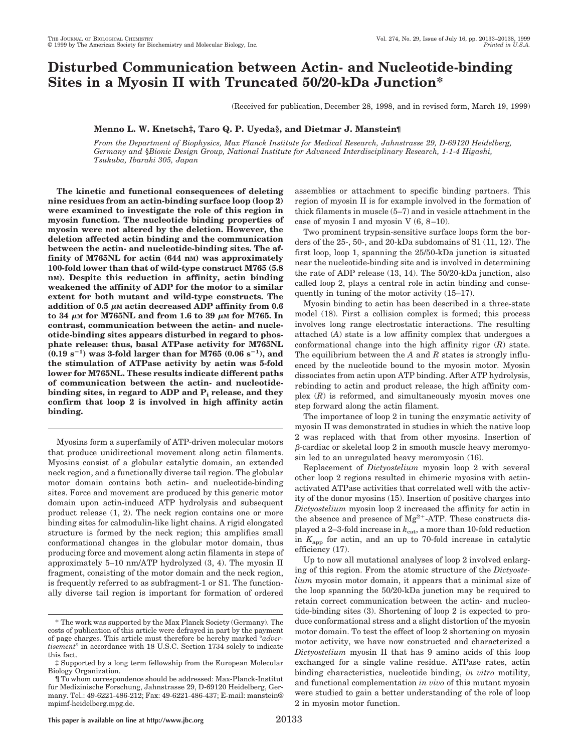# **Disturbed Communication between Actin- and Nucleotide-binding Sites in a Myosin II with Truncated 50/20-kDa Junction\***

(Received for publication, December 28, 1998, and in revised form, March 19, 1999)

# **Menno L. W. Knetsch‡, Taro Q. P. Uyeda§, and Dietmar J. Manstein¶**

*From the Department of Biophysics, Max Planck Institute for Medical Research, Jahnstrasse 29, D-69120 Heidelberg, Germany and* §*Bionic Design Group, National Institute for Advanced Interdisciplinary Research, 1-1-4 Higashi, Tsukuba, Ibaraki 305, Japan*

**The kinetic and functional consequences of deleting nine residues from an actin-binding surface loop (loop 2) were examined to investigate the role of this region in myosin function. The nucleotide binding properties of myosin were not altered by the deletion. However, the deletion affected actin binding and the communication between the actin- and nucleotide-binding sites. The affinity of M765NL for actin (644 nM) was approximately 100-fold lower than that of wild-type construct M765 (5.8 nM). Despite this reduction in affinity, actin binding weakened the affinity of ADP for the motor to a similar extent for both mutant and wild-type constructs. The addition of 0.5**  $\mu$ m actin decreased ADP affinity from 0.6  $\tau$  to 34  $\mu$ M for M765NL and from 1.6 to 39  $\mu$ M for M765. In **contrast, communication between the actin- and nucleotide-binding sites appears disturbed in regard to phosphate release: thus, basal ATPase activity for M765NL**  $(0.19 \text{ s}^{-1})$  was 3-fold larger than for M765  $(0.06 \text{ s}^{-1})$ , and **the stimulation of ATPase activity by actin was 5-fold lower for M765NL. These results indicate different paths of communication between the actin- and nucleotidebinding sites, in regard to ADP and Pi release, and they confirm that loop 2 is involved in high affinity actin binding.**

Myosins form a superfamily of ATP-driven molecular motors that produce unidirectional movement along actin filaments. Myosins consist of a globular catalytic domain, an extended neck region, and a functionally diverse tail region. The globular motor domain contains both actin- and nucleotide-binding sites. Force and movement are produced by this generic motor domain upon actin-induced ATP hydrolysis and subsequent product release (1, 2). The neck region contains one or more binding sites for calmodulin-like light chains. A rigid elongated structure is formed by the neck region; this amplifies small conformational changes in the globular motor domain, thus producing force and movement along actin filaments in steps of approximately 5–10 nm/ATP hydrolyzed (3, 4). The myosin II fragment, consisting of the motor domain and the neck region, is frequently referred to as subfragment-1 or S1. The functionally diverse tail region is important for formation of ordered

assemblies or attachment to specific binding partners. This region of myosin II is for example involved in the formation of thick filaments in muscle (5–7) and in vesicle attachment in the case of myosin I and myosin V (6, 8–10).

Two prominent trypsin-sensitive surface loops form the borders of the 25-, 50-, and 20-kDa subdomains of S1 (11, 12). The first loop, loop 1, spanning the 25/50-kDa junction is situated near the nucleotide-binding site and is involved in determining the rate of ADP release (13, 14). The 50/20-kDa junction, also called loop 2, plays a central role in actin binding and consequently in tuning of the motor activity (15–17).

Myosin binding to actin has been described in a three-state model (18). First a collision complex is formed; this process involves long range electrostatic interactions. The resulting attached (*A*) state is a low affinity complex that undergoes a conformational change into the high affinity rigor (*R*) state. The equilibrium between the *A* and *R* states is strongly influenced by the nucleotide bound to the myosin motor. Myosin dissociates from actin upon ATP binding. After ATP hydrolysis, rebinding to actin and product release, the high affinity complex (*R*) is reformed, and simultaneously myosin moves one step forward along the actin filament.

The importance of loop 2 in tuning the enzymatic activity of myosin II was demonstrated in studies in which the native loop 2 was replaced with that from other myosins. Insertion of b-cardiac or skeletal loop 2 in smooth muscle heavy meromyosin led to an unregulated heavy meromyosin (16).

Replacement of *Dictyostelium* myosin loop 2 with several other loop 2 regions resulted in chimeric myosins with actinactivated ATPase activities that correlated well with the activity of the donor myosins (15). Insertion of positive charges into *Dictyostelium* myosin loop 2 increased the affinity for actin in the absence and presence of  $Mg^{2+}$ -ATP. These constructs displayed a 2–3-fold increase in  $k_{\text{cat}}$ , a more than 10-fold reduction in *K*app for actin, and an up to 70-fold increase in catalytic efficiency (17).

Up to now all mutational analyses of loop 2 involved enlarging of this region. From the atomic structure of the *Dictyostelium* myosin motor domain, it appears that a minimal size of the loop spanning the 50/20-kDa junction may be required to retain correct communication between the actin- and nucleotide-binding sites (3). Shortening of loop 2 is expected to produce conformational stress and a slight distortion of the myosin motor domain. To test the effect of loop 2 shortening on myosin motor activity, we have now constructed and characterized a *Dictyostelium* myosin II that has 9 amino acids of this loop exchanged for a single valine residue. ATPase rates, actin binding characteristics, nucleotide binding, *in vitro* motility, and functional complementation *in vivo* of this mutant myosin were studied to gain a better understanding of the role of loop 2 in myosin motor function.

<sup>\*</sup> The work was supported by the Max Planck Society (Germany). The costs of publication of this article were defrayed in part by the payment of page charges. This article must therefore be hereby marked "*advertisement*" in accordance with 18 U.S.C. Section 1734 solely to indicate this fact.

<sup>‡</sup> Supported by a long term fellowship from the European Molecular Biology Organization.

<sup>¶</sup> To whom correspondence should be addressed: Max-Planck-Institut für Medizinische Forschung, Jahnstrasse 29, D-69120 Heidelberg, Germany. Tel.: 49-6221-486-212; Fax: 49-6221-486-437; E-mail: manstein@ mpimf-heidelberg.mpg.de.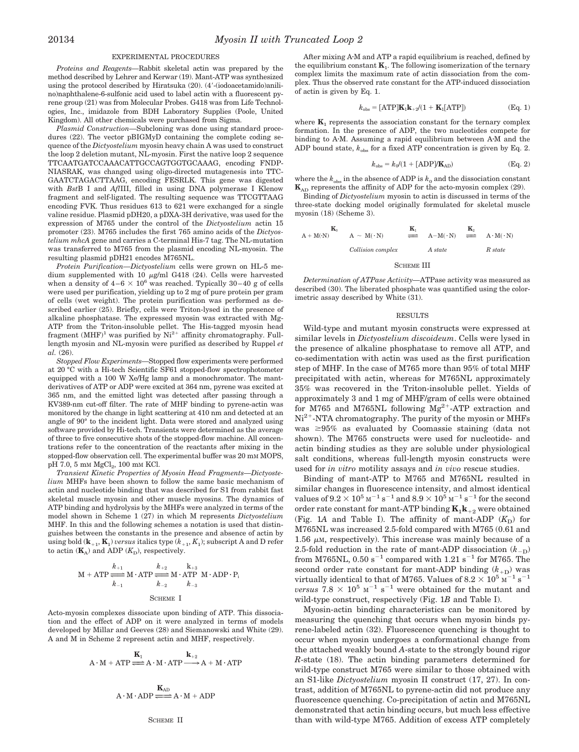#### EXPERIMENTAL PROCEDURES

*Proteins and Reagents—*Rabbit skeletal actin was prepared by the method described by Lehrer and Kerwar (19). Mant-ATP was synthesized using the protocol described by Hiratsuka (20). (4'-(iodoacetamido)anilino)naphthalene-6-sulfonic acid used to label actin with a fluorescent pyrene group (21) was from Molecular Probes. G418 was from Life Technologies, Inc., imidazole from BDH Laboratory Supplies (Poole, United Kingdom). All other chemicals were purchased from Sigma.

*Plasmid Construction—*Subcloning was done using standard procedures (22). The vector pBIGMyD containing the complete coding sequence of the *Dictyostelium* myosin heavy chain A was used to construct the loop 2 deletion mutant, NL-myosin. First the native loop 2 sequence TTCAATGATCCAAACATTGCCAGTGGTGCAAAG, encoding FNDP-NIASRAK, was changed using oligo-directed mutagenesis into TTC-GAATCTAGACTTAAG, encoding FESRLK. This gene was digested with *Bst*B I and *Afl*III, filled in using DNA polymerase I Klenow fragment and self-ligated. The resulting sequence was TTCGTTAAG encoding FVK. Thus residues 613 to 621 were exchanged for a single valine residue. Plasmid pDH20, a pDXA-3H derivative, was used for the expression of M765 under the control of the *Dictyostelium* actin 15 promoter (23). M765 includes the first 765 amino acids of the *Dictyostelium mhcA* gene and carries a C-terminal His-7 tag. The NL-mutation was transferred to M765 from the plasmid encoding NL-myosin. The resulting plasmid pDH21 encodes M765NL.

*Protein Purification—Dictyostelium* cells were grown on HL-5 medium supplemented with 10  $\mu$ g/ml G418 (24). Cells were harvested when a density of  $4-6 \times 10^6$  was reached. Typically 30–40 g of cells were used per purification, yielding up to 2 mg of pure protein per gram of cells (wet weight). The protein purification was performed as described earlier (25). Briefly, cells were Triton-lysed in the presence of alkaline phosphatase. The expressed myosin was extracted with Mg-ATP from the Triton-insoluble pellet. The His-tagged myosin head fragment  $(MHF)^1$  was purified by  $Ni^{2+}$  affinity chromatography. Fulllength myosin and NL-myosin were purified as described by Ruppel *et al.* (26).

*Stopped Flow Experiments—*Stopped flow experiments were performed at 20 °C with a Hi-tech Scientific SF61 stopped-flow spectrophotometer equipped with a 100 W Xe/Hg lamp and a monochromator. The mantderivatives of ATP or ADP were excited at 364 nm, pyrene was excited at 365 nm, and the emitted light was detected after passing through a KV389-nm cut-off filter. The rate of MHF binding to pyrene-actin was monitored by the change in light scattering at 410 nm and detected at an angle of 90° to the incident light. Data were stored and analyzed using software provided by Hi-tech. Transients were determined as the average of three to five consecutive shots of the stopped-flow machine. All concentrations refer to the concentration of the reactants after mixing in the stopped-flow observation cell. The experimental buffer was 20 mM MOPS, pH 7.0, 5 mm  $MgCl_2$ , 100 mm KCl.

*Transient Kinetic Properties of Myosin Head Fragments—Dictyostelium* MHFs have been shown to follow the same basic mechanism of actin and nucleotide binding that was described for S1 from rabbit fast skeletal muscle myosin and other muscle myosins. The dynamics of ATP binding and hydrolysis by the MHFs were analyzed in terms of the model shown in Scheme 1 (27) in which M represents *Dictyostelium* MHF. In this and the following schemes a notation is used that distinguishes between the constants in the presence and absence of actin by using bold  $(\mathbf{k}_{+1}, \mathbf{K}_1)$  *versus* italics type  $(k_{+1}, K_1)$ ; subscript A and D refer to actin  $(K_A)$  and ADP  $(K_D)$ , respectively.

$$
M + ATP \xleftarrow{k_{+1}}^{k_{+1}} M \cdot ATP \xleftarrow{k_{+2}}^{k_{+2}} M \cdot ATP \cdot R \cdot ADP \cdot P_i
$$
  

$$
k_{-1} \qquad k_{-2} \qquad k_{-3}
$$
  

$$
SCHEME I
$$

Acto-myosin complexes dissociate upon binding of ATP. This dissociation and the effect of ADP on it were analyzed in terms of models developed by Millar and Geeves (28) and Siemanowski and White (29). A and M in Scheme 2 represent actin and MHF, respectively.

$$
A \cdot M + ATP \stackrel{\mathbf{K}_1}{\longrightarrow} A \cdot M \cdot ATP \stackrel{\mathbf{k}_{+2}}{\longrightarrow} A + M \cdot ATP
$$

$$
A\cdot M\cdot ADP\stackrel{\textbf{K}_{AD}}{\xrightarrow{\hspace*{1cm}}} A\cdot M+ADP
$$

After mixing A<sub>'</sub>M and ATP a rapid equilibrium is reached, defined by the equilibrium constant  $\mathbf{K}_1$ . The following isomerization of the ternary complex limits the maximum rate of actin dissociation from the complex. Thus the observed rate constant for the ATP-induced dissociation of actin is given by Eq. 1.

$$
k_{\text{obs}} = [\text{ATP}]\mathbf{K}_1 \mathbf{k}_{+2} / (1 + \mathbf{K}_1[\text{ATP}])
$$
(Eq. 1)

where  $K_1$  represents the association constant for the ternary complex formation. In the presence of ADP, the two nucleotides compete for binding to A.M. Assuming a rapid equilibrium between A.M and the ADP bound state,  $k_{obs}$  for a fixed ATP concentration is given by Eq. 2.

$$
k_{\rm obs} = k_0/(1 + \text{[ADP]/K_{AD})} \tag{Eq. 2}
$$

where the  $k_{\rm obs}$  in the absence of ADP is  $k_0$  and the dissociation constant  $\mathbf{K}_{AD}$  represents the affinity of ADP for the acto-myosin complex (29).

Binding of *Dictyostelium* myosin to actin is discussed in terms of the three-state docking model originally formulated for skeletal muscle myosin (18) (Scheme 3).

$$
A + M(N) \xrightarrow{\mathbf{K}_0} A \sim M(\cdot N) \xrightarrow{\mathbf{K}_1} A - M(\cdot N) \xrightarrow{\mathbf{K}_2} A \cdot M(\cdot N)
$$
  
\n
$$
Collision \ complex \qquad A \ state \qquad R \ state
$$
  
\n
$$
SCHEME III
$$

*Determination of ATPase Activity—*ATPase activity was measured as described (30). The liberated phosphate was quantified using the colorimetric assay described by White (31).

#### RESULTS

Wild-type and mutant myosin constructs were expressed at similar levels in *Dictyostelium discoideum*. Cells were lysed in the presence of alkaline phosphatase to remove all ATP, and co-sedimentation with actin was used as the first purification step of MHF. In the case of M765 more than 95% of total MHF precipitated with actin, whereas for M765NL approximately 35% was recovered in the Triton-insoluble pellet. Yields of approximately 3 and 1 mg of MHF/gram of cells were obtained for M765 and M765NL following  $Mg^{2+}$ -ATP extraction and  $Ni<sup>2+</sup>-NTA$  chromatography. The purity of the myosin or MHFs was  $\geq 95\%$  as evaluated by Coomassie staining (data not shown). The M765 constructs were used for nucleotide- and actin binding studies as they are soluble under physiological salt conditions, whereas full-length myosin constructs were used for *in vitro* motility assays and *in vivo* rescue studies.

Binding of mant-ATP to M765 and M765NL resulted in similar changes in fluorescence intensity, and almost identical values of  $9.2 \times 10^5$  M<sup>-1</sup> s<sup>-1</sup> and  $8.9 \times 10^5$  M<sup>-1</sup> s<sup>-1</sup> for the second order rate constant for mant-ATP binding  $K_1k_{+2}$  were obtained (Fig. 1A and Table I). The affinity of mant-ADP  $(K_D)$  for M765NL was increased 2.5-fold compared with M765 (0.61 and 1.56  $\mu$ M, respectively). This increase was mainly because of a 2.5-fold reduction in the rate of mant-ADP dissociation  $(k_{-D})$ from M765NL, 0.50 s<sup>-1</sup> compared with 1.21 s<sup>-1</sup> for M765. The second order rate constant for mant-ADP binding  $(k_{+D})$  was virtually identical to that of M765. Values of  $8.2 \times 10^5$  M<sup>-1</sup> s<sup>-1</sup> *versus*  $7.8 \times 10^5$  M<sup>-1</sup> s<sup>-1</sup> were obtained for the mutant and wild-type construct, respectively (Fig. 1*B* and Table I).

Myosin-actin binding characteristics can be monitored by measuring the quenching that occurs when myosin binds pyrene-labeled actin (32). Fluorescence quenching is thought to occur when myosin undergoes a conformational change from the attached weakly bound *A*-state to the strongly bound rigor *R*-state (18). The actin binding parameters determined for wild-type construct M765 were similar to those obtained with an S1-like *Dictyostelium* myosin II construct (17, 27). In contrast, addition of M765NL to pyrene-actin did not produce any fluorescence quenching. Co-precipitation of actin and M765NL demonstrated that actin binding occurs, but much less effective than with wild-type M765. Addition of excess ATP completely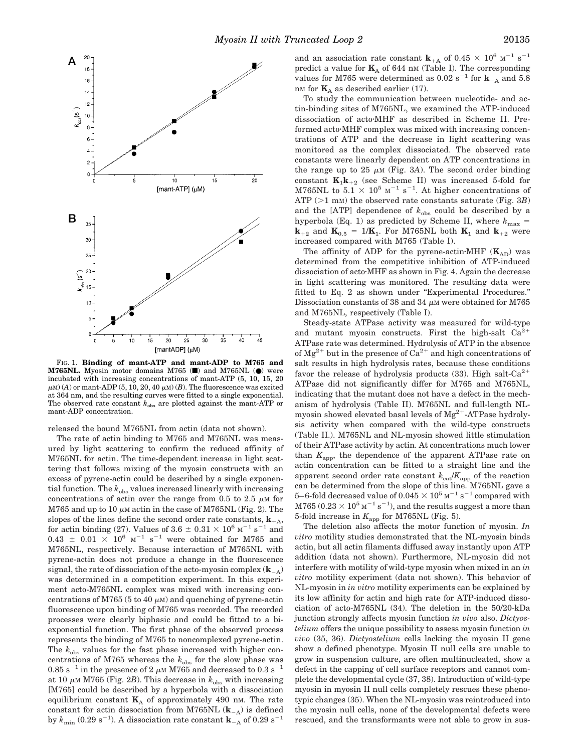

FIG. 1. **Binding of mant-ATP and mant-ADP to M765 and M765NL.** Myosin motor domains M765 ( $\blacksquare$ ) and M765NL ( $\blacksquare$ ) were incubated with increasing concentrations of mant-ATP (5, 10, 15, 20  $\mu$ M) (*A*) or mant-ADP (5, 10, 20, 40  $\mu$ M) (*B*). The fluorescence was excited at 364 nm, and the resulting curves were fitted to a single exponential. The observed rate constant  $k_{obs}$  are plotted against the mant-ATP or mant-ADP concentration.

released the bound M765NL from actin (data not shown).

The rate of actin binding to M765 and M765NL was measured by light scattering to confirm the reduced affinity of M765NL for actin. The time-dependent increase in light scattering that follows mixing of the myosin constructs with an excess of pyrene-actin could be described by a single exponential function. The  $k_{obs}$  values increased linearly with increasing concentrations of actin over the range from  $0.5$  to  $2.5 \mu M$  for M765 and up to 10  $\mu$ M actin in the case of M765NL (Fig. 2). The slopes of the lines define the second order rate constants,  $\mathbf{k}_{+A}$ , for actin binding (27). Values of 3.6  $\pm$  0.31  $\times$  10<sup>6</sup> M<sup>-1</sup> s<sup>-1</sup> and 0.43  $\pm$  0.01  $\times$  10<sup>6</sup> M<sup>-1</sup> s<sup>-1</sup> were obtained for M765 and M765NL, respectively. Because interaction of M765NL with pyrene-actin does not produce a change in the fluorescence signal, the rate of dissociation of the acto-myosin complex  $(\mathbf{k}_{A})$ was determined in a competition experiment. In this experiment acto-M765NL complex was mixed with increasing concentrations of M765 (5 to 40  $\mu$ M) and quenching of pyrene-actin fluorescence upon binding of M765 was recorded. The recorded processes were clearly biphasic and could be fitted to a biexponential function. The first phase of the observed process represents the binding of M765 to noncomplexed pyrene-actin. The  $k_{obs}$  values for the fast phase increased with higher concentrations of M765 whereas the  $k_{obs}$  for the slow phase was 0.85 s<sup>-1</sup> in the presence of 2  $\mu$ M M 765 and decreased to 0.3 s<sup>-1</sup> at 10  $\mu$ M M 765 (Fig. 2*B*). This decrease in  $k_{obs}$  with increasing [M765] could be described by a hyperbola with a dissociation equilibrium constant  $\mathbf{K}_{\text{A}}$  of approximately 490 nm. The rate constant for actin dissociation from M765NL  $(\mathbf{k}_{A})$  is defined by  $k_{\text{min}}$  (0.29 s<sup>-1</sup>). A dissociation rate constant **k**<sub>-A</sub> of 0.29 s<sup>-1</sup>

To study the communication between nucleotide- and actin-binding sites of M765NL, we examined the ATP-induced dissociation of acto $\cdot$ MHF as described in Scheme II. Preformed acto MHF complex was mixed with increasing concentrations of ATP and the decrease in light scattering was monitored as the complex dissociated. The observed rate constants were linearly dependent on ATP concentrations in the range up to 25  $\mu$ M (Fig. 3A). The second order binding constant  $\mathbf{K}_1 \mathbf{k}_{+2}$  (see Scheme II) was increased 5-fold for M765NL to  $5.1 \times 10^5$  M<sup>-1</sup> s<sup>-1</sup>. At higher concentrations of ATP  $(>1$  mm) the observed rate constants saturate (Fig. 3*B*) and the  $[ATP]$  dependence of  $k_{obs}$  could be described by a hyperbola (Eq. 1) as predicted by Scheme II, where  $k_{\text{max}} =$  $\mathbf{k}_{+2}$  and  $\mathbf{K}_{0.5} = 1/\mathbf{K}_1$ . For M765NL both  $\mathbf{K}_1$  and  $\mathbf{k}_{+2}$  were increased compared with M765 (Table I).

The affinity of ADP for the pyrene-actin $\cdot$ MHF ( $\mathbf{K}_{AD}$ ) was determined from the competitive inhibition of ATP-induced dissociation of acto MHF as shown in Fig. 4. Again the decrease in light scattering was monitored. The resulting data were fitted to Eq. 2 as shown under "Experimental Procedures." Dissociation constants of 38 and 34  $\mu$ M were obtained for M765 and M765NL, respectively (Table I).

Steady-state ATPase activity was measured for wild-type and mutant myosin constructs. First the high-salt  $Ca<sup>2</sup>$ ATPase rate was determined. Hydrolysis of ATP in the absence of  $Mg^{2+}$  but in the presence of  $Ca^{2+}$  and high concentrations of salt results in high hydrolysis rates, because these conditions favor the release of hydrolysis products  $(33)$ . High salt-Ca<sup>2+</sup> ATPase did not significantly differ for M765 and M765NL, indicating that the mutant does not have a defect in the mechanism of hydrolysis (Table II). M765NL and full-length NLmyosin showed elevated basal levels of  $Mg^{2+}$ -ATPase hydrolysis activity when compared with the wild-type constructs (Table II.). M765NL and NL-myosin showed little stimulation of their ATPase activity by actin. At concentrations much lower than *K*app, the dependence of the apparent ATPase rate on actin concentration can be fitted to a straight line and the apparent second order rate constant  $k_{\text{cat}}/K_{\text{app}}$  of the reaction can be determined from the slope of this line. M765NL gave a 5–6-fold decreased value of 0.045  $\times$   $10^5$   $\mathrm{M}^{-1}$  s $^{-1}$  compared with  $M765 (0.23 \times 10^5 \,\mathrm{m}^{-1}\,\mathrm{s}^{-1}),$  and the results suggest a more than 5-fold increase in  $K_{\rm app}$  for M765NL (Fig. 5).

The deletion also affects the motor function of myosin. *In vitro* motility studies demonstrated that the NL-myosin binds actin, but all actin filaments diffused away instantly upon ATP addition (data not shown). Furthermore, NL-myosin did not interfere with motility of wild-type myosin when mixed in an *in vitro* motility experiment (data not shown). This behavior of NL-myosin in *in vitro* motility experiments can be explained by its low affinity for actin and high rate for ATP-induced dissociation of acto-M765NL (34). The deletion in the 50/20-kDa junction strongly affects myosin function *in vivo* also. *Dictyostelium* offers the unique possibility to assess myosin function *in vivo* (35, 36). *Dictyostelium* cells lacking the myosin II gene show a defined phenotype. Myosin II null cells are unable to grow in suspension culture, are often multinucleated, show a defect in the capping of cell surface receptors and cannot complete the developmental cycle (37, 38). Introduction of wild-type myosin in myosin II null cells completely rescues these phenotypic changes (35). When the NL-myosin was reintroduced into the myosin null cells, none of the developmental defects were rescued, and the transformants were not able to grow in sus-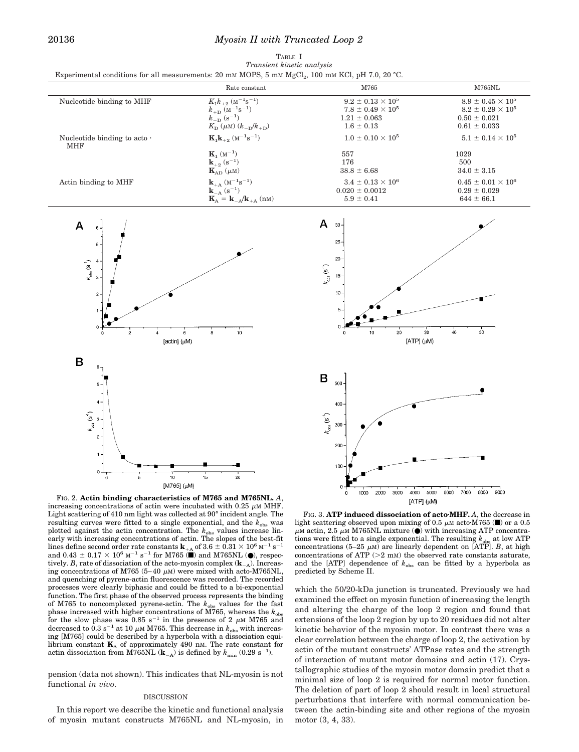TABLE I *Transient kinetic analysis* Experimental conditions for all measurements: 20 mM MOPS, 5 mM MgCl<sub>2</sub>, 100 mM KCl, pH 7.0, 20 °C.

|                                                  | Rate constant                                                                          | M765                       | M765NL                      |
|--------------------------------------------------|----------------------------------------------------------------------------------------|----------------------------|-----------------------------|
| Nucleotide binding to MHF                        | $K_1 k_{+2}$ (M <sup>-1</sup> s <sup>-1</sup> )                                        | $9.2 \pm 0.13 \times 10^5$ | $8.9 \pm 0.45 \times 10^5$  |
|                                                  | $k_{\mathrm{+D}}\ (\mathrm{M}^{-1}\mathrm{s}^{-1})$                                    | $7.8 \pm 0.49 \times 10^5$ | $8.2 \pm 0.29 \times 10^5$  |
|                                                  | $k_{\text{D}}^{(s-1)}$                                                                 | $1.21 \pm 0.063$           | $0.50 \pm 0.021$            |
|                                                  | $K_{\rm D}(\mu M)$ $(k_{-\rm D}/k_{+\rm D})$                                           | $1.6 \pm 0.13$             | $0.61 \pm 0.033$            |
| Nucleotide binding to acto $\cdot$<br><b>MHF</b> | ${\bf K}_1 {\bf k}_{+2}$ (M <sup>-1</sup> s <sup>-1</sup> )                            | $1.0 \pm 0.10 \times 10^5$ | $5.1 \pm 0.14 \times 10^5$  |
|                                                  | ${\bf K}_1$ (M <sup>-1</sup> )                                                         | 557                        | 1029                        |
|                                                  | $\mathbf{k}_{+2}^{-}$ (s <sup>-1</sup> )                                               | 176                        | 500                         |
|                                                  | $\mathbf{K}_{AD}$ ( $\mu$ M)                                                           | $38.8 \pm 6.68$            | $34.0 \pm 3.15$             |
| Actin binding to MHF                             | $\mathbf{k}_{+A}$ (M <sup>-1</sup> s <sup>-1</sup> )                                   | $3.4 \pm 0.13 \times 10^6$ | $0.45 \pm 0.01 \times 10^6$ |
|                                                  | ${\bf k}_{-A}$ (s <sup>-1</sup> )                                                      | $0.020 \pm 0.0012$         | $0.29 \pm 0.029$            |
|                                                  | $\mathbf{K}_{\text{A}} = \mathbf{k}_{-\text{A}} / \mathbf{k}_{+\text{A}} \text{ (nm)}$ | $5.9 \pm 0.41$             | $644 \pm 66.1$              |



FIG. 2. **Actin binding characteristics of M765 and M765NL.** *A*, increasing concentrations of actin were incubated with 0.25  $\mu$ M MHF. Light scattering of 410 nm light was collected at 90° incident angle. The resulting curves were fitted to a single exponential, and the  $k_{\rm obs}$  was plotted against the actin concentration. The  $k_{obs}$  values increase linearly with increasing concentrations of actin. The slopes of the best-fit lines define second order rate constants  $\mathbf{k}_{+A}$  of 3.6  $\pm$  0.31  $\times$  10<sup>6</sup> M<sup>-1</sup> s<sup>-1</sup> and 0.43  $\pm$  0.17  $\times$  10<sup>6</sup> M<sup>-1</sup> s<sup>-1</sup> for M765 ( $\blacksquare$ ) and M765NL ( $\blacksquare$ ), respectively. *B*, rate of dissociation of the acto-myosin complex  $(\mathbf{k}_{A})$ . Increasing concentrations of M765 (5–40  $\mu$ M) were mixed with acto-M765NL, and quenching of pyrene-actin fluorescence was recorded. The recorded processes were clearly biphasic and could be fitted to a bi-exponential function. The first phase of the observed process represents the binding of M765 to noncomplexed pyrene-actin. The  $k_{obs}$  values for the fast phase increased with higher concentrations of  $\widetilde{M765}$ , whereas the  $k_{\text{obs}}$ for the slow phase was  $0.85$  s<sup>-1</sup> in the presence of 2  $\mu$ M M765 and decreased to  $0.3 \text{ s}^{-1}$  at 10  $\mu$ M M765. This decrease in  $k_{\text{obs}}$  with increasing [M765] could be described by a hyperbola with a dissociation equilibrium constant  $\mathbf{K}_{\text{A}}$  of approximately 490 nm. The rate constant for actin dissociation from M765NL  $(\mathbf{k}_{A})$  is defined by  $k_{\min}$  (0.29 s<sup>-1</sup>).

pension (data not shown). This indicates that NL-myosin is not functional *in vivo*.

### DISCUSSION

In this report we describe the kinetic and functional analysis of myosin mutant constructs M765NL and NL-myosin, in

FIG. 3. **ATP induced dissociation of acto**z**MHF.** *A*, the decrease in light scattering observed upon mixing of 0.5  $\mu$ M acto $\cdot$ M765 ( $\blacksquare$ ) or a 0.5  $\mu$ M actin, 2.5  $\mu$ M M765NL mixture ( $\bullet$ ) with increasing ATP concentrations were fitted to a single exponential. The resulting  $k_{obs}$  at low ATP concentrations  $(5-25 \mu M)$  are linearly dependent on [ATP]. *B*, at high concentrations of ATP  $(>2$  mM) the observed rate constants saturate, and the [ATP] dependence of  $k_{obs}$  can be fitted by a hyperbola as predicted by Scheme II.

which the 50/20-kDa junction is truncated. Previously we had examined the effect on myosin function of increasing the length and altering the charge of the loop 2 region and found that extensions of the loop 2 region by up to 20 residues did not alter kinetic behavior of the myosin motor. In contrast there was a clear correlation between the charge of loop 2, the activation by actin of the mutant constructs' ATPase rates and the strength of interaction of mutant motor domains and actin (17). Crystallographic studies of the myosin motor domain predict that a minimal size of loop 2 is required for normal motor function. The deletion of part of loop 2 should result in local structural perturbations that interfere with normal communication between the actin-binding site and other regions of the myosin motor (3, 4, 33).

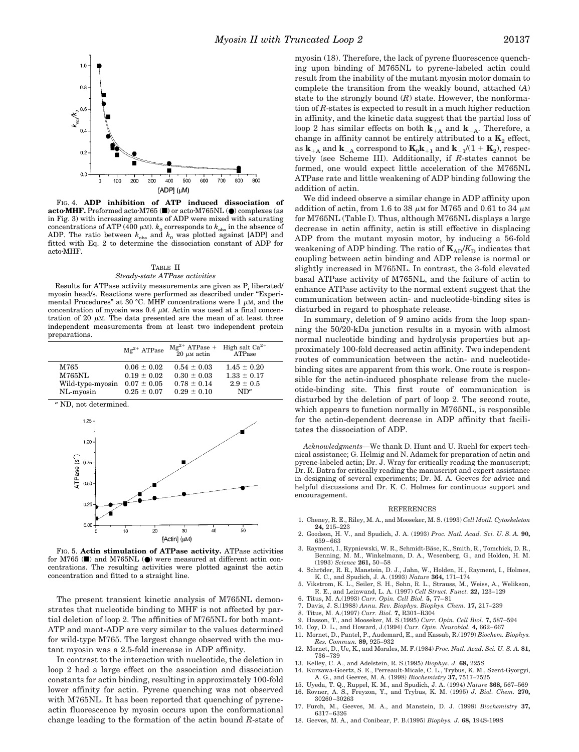

FIG. 4. **ADP inhibition of ATP induced dissociation of acto·MHF.** Preformed acto·M765 (■) or acto·M765NL (●) complexes (as in Fig. 3) with increasing amounts of ADP were mixed with saturating concentrations of ATP (400  $\mu$ M).  $k_0$  corresponds to  $k_{obs}$  in the absence of ADP. The ratio between  $k_{\text{obs}}$  and  $k_0$  was plotted against [ADP] and fitted with Eq. 2 to determine the dissociation constant of ADP for acto·MHF.

## TABLE II *Steady-state ATPase activities*

Results for ATPase activity measurements are given as  $P_i$  liberated/ myosin head/s. Reactions were performed as described under "Experimental Procedures" at 30 °C. MHF concentrations were 1  $\mu$ M, and the concentration of myosin was  $0.4 \mu$ M. Actin was used at a final concentration of 20  $\mu$ M. The data presented are the mean of at least three independent measurements from at least two independent protein preparations.

|                  | $Me^{2+}$ ATPase | $Mg^{2+}$ ATPase + High salt Ca <sup>2+</sup><br>20 $\mu$ M actin ATPase |                 |
|------------------|------------------|--------------------------------------------------------------------------|-----------------|
| M765             | $0.06 \pm 0.02$  | $0.54 \pm 0.03$                                                          | $1.45 \pm 0.20$ |
| M765NL           | $0.19 \pm 0.02$  | $0.30 \pm 0.03$                                                          | $1.33 \pm 0.17$ |
| Wild-type-myosin | $0.07\pm0.05$    | $0.78 \pm 0.14$                                                          | $2.9 \pm 0.5$   |
| NL-myosin        | $0.25 \pm 0.07$  | $0.29 \pm 0.10$                                                          | $ND^a$          |

*<sup>a</sup>* ND, not determined.



FIG. 5. **Actin stimulation of ATPase activity.** ATPase activities for M765 ( $\blacksquare$ ) and M765NL ( $\blacksquare$ ) were measured at different actin concentrations. The resulting activities were plotted against the actin concentration and fitted to a straight line.

The present transient kinetic analysis of M765NL demonstrates that nucleotide binding to MHF is not affected by partial deletion of loop 2. The affinities of M765NL for both mant-ATP and mant-ADP are very similar to the values determined for wild-type M765. The largest change observed with the mutant myosin was a 2.5-fold increase in ADP affinity.

In contrast to the interaction with nucleotide, the deletion in loop 2 had a large effect on the association and dissociation constants for actin binding, resulting in approximately 100-fold lower affinity for actin. Pyrene quenching was not observed with M765NL. It has been reported that quenching of pyreneactin fluorescence by myosin occurs upon the conformational change leading to the formation of the actin bound *R*-state of myosin (18). Therefore, the lack of pyrene fluorescence quenching upon binding of M765NL to pyrene-labeled actin could result from the inability of the mutant myosin motor domain to complete the transition from the weakly bound, attached (*A*) state to the strongly bound (*R*) state. However, the nonformation of *R*-states is expected to result in a much higher reduction in affinity, and the kinetic data suggest that the partial loss of loop 2 has similar effects on both  $\mathbf{k}_{+A}$  and  $\mathbf{k}_{-A}$ . Therefore, a change in affinity cannot be entirely attributed to a  $K_2$  effect, as  $\mathbf{k}_{+A}$  and  $\mathbf{k}_{-A}$  correspond to  $\mathbf{K}_0 \mathbf{k}_{+1}$  and  $\mathbf{k}_{-1}/(1 + \mathbf{K}_2)$ , respectively (see Scheme III). Additionally, if *R*-states cannot be formed, one would expect little acceleration of the M765NL ATPase rate and little weakening of ADP binding following the addition of actin.

We did indeed observe a similar change in ADP affinity upon addition of actin, from 1.6 to 38  $\mu$ M for M765 and 0.61 to 34  $\mu$ M for M765NL (Table I). Thus, although M765NL displays a large decrease in actin affinity, actin is still effective in displacing ADP from the mutant myosin motor, by inducing a 56-fold weakening of ADP binding. The ratio of  $K_{AD}/K_D$  indicates that coupling between actin binding and ADP release is normal or slightly increased in M765NL. In contrast, the 3-fold elevated basal ATPase activity of M765NL, and the failure of actin to enhance ATPase activity to the normal extent suggest that the communication between actin- and nucleotide-binding sites is disturbed in regard to phosphate release.

In summary, deletion of 9 amino acids from the loop spanning the 50/20-kDa junction results in a myosin with almost normal nucleotide binding and hydrolysis properties but approximately 100-fold decreased actin affinity. Two independent routes of communication between the actin- and nucleotidebinding sites are apparent from this work. One route is responsible for the actin-induced phosphate release from the nucleotide-binding site. This first route of communication is disturbed by the deletion of part of loop 2. The second route, which appears to function normally in M765NL, is responsible for the actin-dependent decrease in ADP affinity that facilitates the dissociation of ADP.

*Acknowledgments—*We thank D. Hunt and U. Ruehl for expert technical assistance; G. Helmig and N. Adamek for preparation of actin and pyrene-labeled actin; Dr. J. Wray for critically reading the manuscript; Dr. R. Batra for critically reading the manuscript and expert assistance in designing of several experiments; Dr. M. A. Geeves for advice and helpful discussions and Dr. K. C. Holmes for continuous support and encouragement.

#### REFERENCES

- 1. Cheney, R. E., Riley, M. A., and Mooseker, M. S. (1993) *Cell Motil. Cytoskeleton* **24,** 215–223
- 2. Goodson, H. V., and Spudich, J. A. (1993) *Proc. Natl. Acad. Sci. U. S. A.* **90,** 659–663
- 3. Rayment, I., Rypniewski, W. R., Schmidt-Bäse, K., Smith, R., Tomchick, D. R., Benning, M. M., Winkelmann, D. A., Wesenberg, G., and Holden, H. M. (1993) *Science* **261,** 50–58
- 4. Schröder, R. R., Manstein, D. J., Jahn, W., Holden, H., Rayment, I., Holmes, K. C., and Spudich, J. A. (1993) *Nature* **364,** 171–174
- 5. Vikstrom, K. L., Seiler, S. H., Sohn, R. L., Strauss, M., Weiss, A., Welikson, R. E., and Leinwand, L. A. (1997) *Cell Struct. Funct.* **22,** 123–129
- 6. Titus, M. A.(1993) *Curr. Opin. Cell Biol.* **5,** 77–81
- 7. Davis, J. S.(1988) *Annu. Rev. Biophys. Biophys. Chem.* **17,** 217–239
- 8. Titus, M. A.(1997) *Curr. Biol.* **7,** R301–R304
	- 9. Hasson, T., and Mooseker, M. S.(1995) *Curr. Opin. Cell Biol.* **7,** 587–594
- 10. Coy, D. L., and Howard, J.(1994) *Curr. Opin. Neurobiol.* **4,** 662–667
- 11. Mornet, D., Pantel, P., Audemard, E., and Kassab, R.(1979) *Biochem. Biophys. Res. Commun.* **89,** 925–932
- 12. Mornet, D., Ue, K., and Morales, M. F.(1984) *Proc. Natl. Acad. Sci. U. S. A.* **81,** 736–739
- 13. Kelley, C. A., and Adelstein, R. S.(1995) *Biophys. J.* **68,** 225S
- 14. Kurzawa-Goertz, S. E., Perreault-Micale, C. L., Trybus, K. M., Szent-Gyorgyi, A. G., and Geeves, M. A. (1998) *Biochemistry* **37,** 7517–7525
- 15. Uyeda, T. Q., Ruppel, K. M., and Spudich, J. A. (1994) *Nature* **368,** 567–569 16. Rovner, A. S., Freyzon, Y., and Trybus, K. M. (1995) *J. Biol. Chem.* **270,** 30260–30263
- 17. Furch, M., Geeves, M. A., and Manstein, D. J. (1998) *Biochemistry* **37,** 6317–6326
- 18. Geeves, M. A., and Conibear, P. B.(1995) *Biophys. J.* **68,** 194S-199S